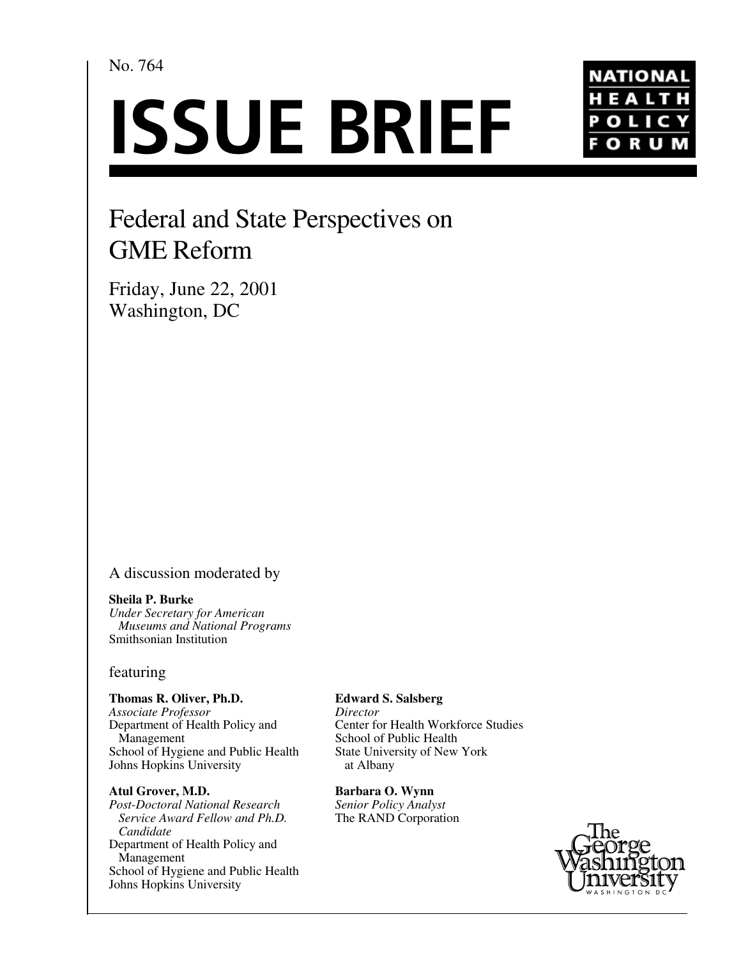# No. 764

# **ISSUE BRIEF**



# Federal and State Perspectives on GME Reform

Friday, June 22, 2001 Washington, DC

## A discussion moderated by

#### **Sheila P. Burke**

*Under Secretary for American Museums and National Programs* Smithsonian Institution

### featuring

#### **Thomas R. Oliver, Ph.D.**

*Associate Professor* Department of Health Policy and Management School of Hygiene and Public Health Johns Hopkins University

#### **Atul Grover, M.D.**

*Post-Doctoral National Research Service Award Fellow and Ph.D. Candidate* Department of Health Policy and Management School of Hygiene and Public Health Johns Hopkins University

#### **Edward S. Salsberg**

*Director* Center for Health Workforce Studies School of Public Health State University of New York at Albany

**Barbara O. Wynn** *Senior Policy Analyst* The RAND Corporation

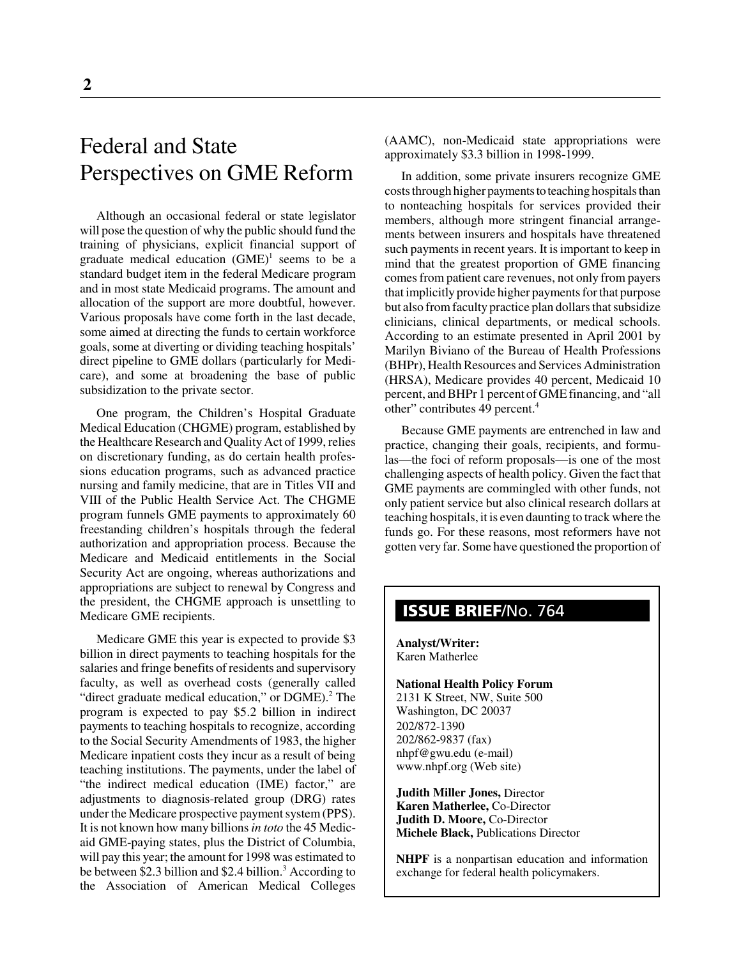# Federal and State Perspectives on GME Reform

Although an occasional federal or state legislator will pose the question of why the public should fund the training of physicians, explicit financial support of graduate medical education  $(GME)^1$  seems to be a standard budget item in the federal Medicare program and in most state Medicaid programs. The amount and allocation of the support are more doubtful, however. Various proposals have come forth in the last decade, some aimed at directing the funds to certain workforce goals, some at diverting or dividing teaching hospitals' direct pipeline to GME dollars (particularly for Medicare), and some at broadening the base of public subsidization to the private sector.

One program, the Children's Hospital Graduate Medical Education (CHGME) program, established by the Healthcare Research and Quality Act of 1999, relies on discretionary funding, as do certain health professions education programs, such as advanced practice nursing and family medicine, that are in Titles VII and VIII of the Public Health Service Act. The CHGME program funnels GME payments to approximately 60 freestanding children's hospitals through the federal authorization and appropriation process. Because the Medicare and Medicaid entitlements in the Social Security Act are ongoing, whereas authorizations and appropriations are subject to renewal by Congress and the president, the CHGME approach is unsettling to Medicare GME recipients.

Medicare GME this year is expected to provide \$3 billion in direct payments to teaching hospitals for the salaries and fringe benefits of residents and supervisory faculty, as well as overhead costs (generally called "direct graduate medical education," or DGME).<sup>2</sup> The program is expected to pay \$5.2 billion in indirect payments to teaching hospitals to recognize, according to the Social Security Amendments of 1983, the higher Medicare inpatient costs they incur as a result of being teaching institutions. The payments, under the label of "the indirect medical education (IME) factor," are adjustments to diagnosis-related group (DRG) rates under the Medicare prospective payment system (PPS). It is not known how many billions *in toto* the 45 Medicaid GME-paying states, plus the District of Columbia, will pay this year; the amount for 1998 was estimated to be between \$2.3 billion and \$2.4 billion.<sup>3</sup> According to the Association of American Medical Colleges

(AAMC), non-Medicaid state appropriations were approximately \$3.3 billion in 1998-1999.

In addition, some private insurers recognize GME costs through higher payments to teaching hospitals than to nonteaching hospitals for services provided their members, although more stringent financial arrangements between insurers and hospitals have threatened such payments in recent years. It is important to keep in mind that the greatest proportion of GME financing comes from patient care revenues, not only from payers that implicitly provide higher payments for that purpose but also from faculty practice plan dollars that subsidize clinicians, clinical departments, or medical schools. According to an estimate presented in April 2001 by Marilyn Biviano of the Bureau of Health Professions (BHPr), Health Resources and Services Administration (HRSA), Medicare provides 40 percent, Medicaid 10 percent, and BHPr 1 percent of GME financing, and "all other" contributes 49 percent.<sup>4</sup>

Because GME payments are entrenched in law and practice, changing their goals, recipients, and formulas—the foci of reform proposals—is one of the most challenging aspects of health policy. Given the fact that GME payments are commingled with other funds, not only patient service but also clinical research dollars at teaching hospitals, it is even daunting to track where the funds go. For these reasons, most reformers have not gotten very far. Some have questioned the proportion of

# **ISSUE BRIEF**/No. 764

**Analyst/Writer:** Karen Matherlee

**National Health Policy Forum** 2131 K Street, NW, Suite 500 Washington, DC 20037 202/872-1390 202/862-9837 (fax) nhpf@gwu.edu (e-mail) www.nhpf.org (Web site)

**Judith Miller Jones,** Director **Karen Matherlee,** Co-Director **Judith D. Moore,** Co-Director **Michele Black,** Publications Director

**NHPF** is a nonpartisan education and information exchange for federal health policymakers.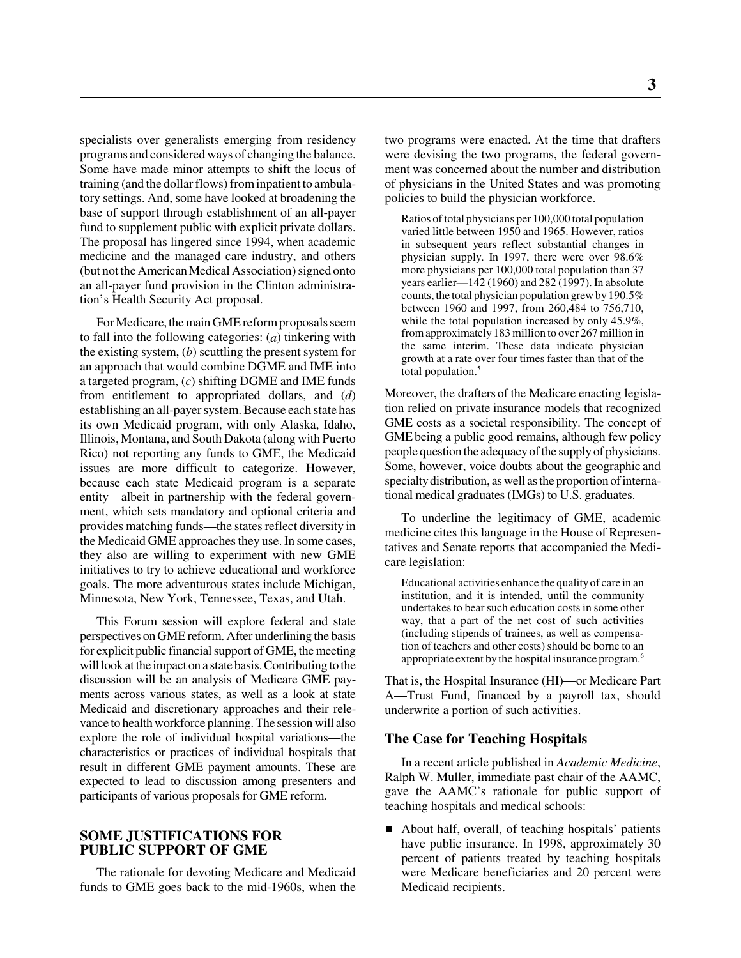specialists over generalists emerging from residency programs and considered ways of changing the balance. Some have made minor attempts to shift the locus of training (and the dollar flows) from inpatient to ambulatory settings. And, some have looked at broadening the base of support through establishment of an all-payer fund to supplement public with explicit private dollars. The proposal has lingered since 1994, when academic medicine and the managed care industry, and others (but not the American Medical Association) signed onto an all-payer fund provision in the Clinton administration's Health Security Act proposal.

For Medicare, the main GME reform proposals seem to fall into the following categories: (*a*) tinkering with the existing system, (*b*) scuttling the present system for an approach that would combine DGME and IME into a targeted program, (*c*) shifting DGME and IME funds from entitlement to appropriated dollars, and (*d*) establishing an all-payer system. Because each state has its own Medicaid program, with only Alaska, Idaho, Illinois, Montana, and South Dakota (along with Puerto Rico) not reporting any funds to GME, the Medicaid issues are more difficult to categorize. However, because each state Medicaid program is a separate entity—albeit in partnership with the federal government, which sets mandatory and optional criteria and provides matching funds—the states reflect diversity in the Medicaid GME approaches they use. In some cases, they also are willing to experiment with new GME initiatives to try to achieve educational and workforce goals. The more adventurous states include Michigan, Minnesota, New York, Tennessee, Texas, and Utah.

This Forum session will explore federal and state perspectives on GME reform. After underlining the basis for explicit public financial support of GME, the meeting will look at the impact on a state basis. Contributing to the discussion will be an analysis of Medicare GME payments across various states, as well as a look at state Medicaid and discretionary approaches and their relevance to health workforce planning. The session will also explore the role of individual hospital variations—the characteristics or practices of individual hospitals that result in different GME payment amounts. These are expected to lead to discussion among presenters and participants of various proposals for GME reform.

#### **SOME JUSTIFICATIONS FOR PUBLIC SUPPORT OF GME**

The rationale for devoting Medicare and Medicaid funds to GME goes back to the mid-1960s, when the two programs were enacted. At the time that drafters were devising the two programs, the federal government was concerned about the number and distribution of physicians in the United States and was promoting policies to build the physician workforce.

Ratios of total physicians per 100,000 total population varied little between 1950 and 1965. However, ratios in subsequent years reflect substantial changes in physician supply. In 1997, there were over 98.6% more physicians per 100,000 total population than 37 years earlier—142 (1960) and 282 (1997). In absolute counts, the total physician population grew by 190.5% between 1960 and 1997, from 260,484 to 756,710, while the total population increased by only 45.9%, from approximately 183 million to over 267 million in the same interim. These data indicate physician growth at a rate over four times faster than that of the total population.<sup>5</sup>

Moreover, the drafters of the Medicare enacting legislation relied on private insurance models that recognized GME costs as a societal responsibility. The concept of GME being a public good remains, although few policy people question the adequacy of the supply of physicians. Some, however, voice doubts about the geographic and specialty distribution, as well as the proportion of international medical graduates (IMGs) to U.S. graduates.

To underline the legitimacy of GME, academic medicine cites this language in the House of Representatives and Senate reports that accompanied the Medicare legislation:

Educational activities enhance the quality of care in an institution, and it is intended, until the community undertakes to bear such education costs in some other way, that a part of the net cost of such activities (including stipends of trainees, as well as compensation of teachers and other costs) should be borne to an appropriate extent by the hospital insurance program.6

That is, the Hospital Insurance (HI)—or Medicare Part A—Trust Fund, financed by a payroll tax, should underwrite a portion of such activities.

#### **The Case for Teaching Hospitals**

In a recent article published in *Academic Medicine*, Ralph W. Muller, immediate past chair of the AAMC, gave the AAMC's rationale for public support of teaching hospitals and medical schools:

■ About half, overall, of teaching hospitals' patients have public insurance. In 1998, approximately 30 percent of patients treated by teaching hospitals were Medicare beneficiaries and 20 percent were Medicaid recipients.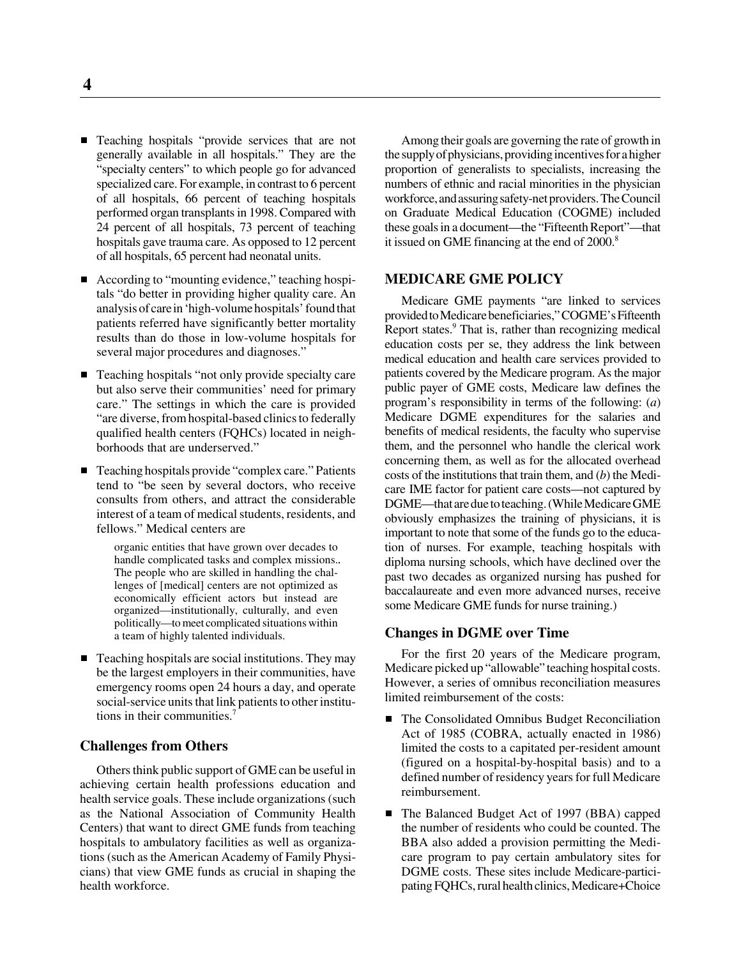- Teaching hospitals "provide services that are not generally available in all hospitals." They are the "specialty centers" to which people go for advanced specialized care. For example, in contrast to 6 percent of all hospitals, 66 percent of teaching hospitals performed organ transplants in 1998. Compared with 24 percent of all hospitals, 73 percent of teaching hospitals gave trauma care. As opposed to 12 percent of all hospitals, 65 percent had neonatal units.
- According to "mounting evidence," teaching hospitals "do better in providing higher quality care. An analysis of care in 'high-volume hospitals' found that patients referred have significantly better mortality results than do those in low-volume hospitals for several major procedures and diagnoses."
- Teaching hospitals "not only provide specialty care but also serve their communities' need for primary care." The settings in which the care is provided "are diverse, from hospital-based clinics to federally qualified health centers (FQHCs) located in neighborhoods that are underserved."
- Teaching hospitals provide "complex care." Patients tend to "be seen by several doctors, who receive consults from others, and attract the considerable interest of a team of medical students, residents, and fellows." Medical centers are

organic entities that have grown over decades to handle complicated tasks and complex missions.. The people who are skilled in handling the challenges of [medical] centers are not optimized as economically efficient actors but instead are organized—institutionally, culturally, and even politically—to meet complicated situations within a team of highly talented individuals.

■ Teaching hospitals are social institutions. They may be the largest employers in their communities, have emergency rooms open 24 hours a day, and operate social-service units that link patients to other institutions in their communities.7

#### **Challenges from Others**

Others think public support of GME can be useful in achieving certain health professions education and health service goals. These include organizations (such as the National Association of Community Health Centers) that want to direct GME funds from teaching hospitals to ambulatory facilities as well as organizations (such as the American Academy of Family Physicians) that view GME funds as crucial in shaping the health workforce.

Among their goals are governing the rate of growth in the supply of physicians, providing incentives for a higher proportion of generalists to specialists, increasing the numbers of ethnic and racial minorities in the physician workforce, and assuring safety-net providers. The Council on Graduate Medical Education (COGME) included these goals in a document—the "Fifteenth Report"—that it issued on GME financing at the end of 2000.<sup>8</sup>

#### **MEDICARE GME POLICY**

Medicare GME payments "are linked to services provided to Medicare beneficiaries," COGME's Fifteenth Report states.<sup>9</sup> That is, rather than recognizing medical education costs per se, they address the link between medical education and health care services provided to patients covered by the Medicare program. As the major public payer of GME costs, Medicare law defines the program's responsibility in terms of the following: (*a*) Medicare DGME expenditures for the salaries and benefits of medical residents, the faculty who supervise them, and the personnel who handle the clerical work concerning them, as well as for the allocated overhead costs of the institutions that train them, and (*b*) the Medicare IME factor for patient care costs—not captured by DGME—that are due to teaching. (While Medicare GME obviously emphasizes the training of physicians, it is important to note that some of the funds go to the education of nurses. For example, teaching hospitals with diploma nursing schools, which have declined over the past two decades as organized nursing has pushed for baccalaureate and even more advanced nurses, receive some Medicare GME funds for nurse training.)

#### **Changes in DGME over Time**

For the first 20 years of the Medicare program, Medicare picked up "allowable" teaching hospital costs. However, a series of omnibus reconciliation measures limited reimbursement of the costs:

- The Consolidated Omnibus Budget Reconciliation Act of 1985 (COBRA, actually enacted in 1986) limited the costs to a capitated per-resident amount (figured on a hospital-by-hospital basis) and to a defined number of residency years for full Medicare reimbursement.
- The Balanced Budget Act of 1997 (BBA) capped the number of residents who could be counted. The BBA also added a provision permitting the Medicare program to pay certain ambulatory sites for DGME costs. These sites include Medicare-participating FQHCs, rural health clinics, Medicare+Choice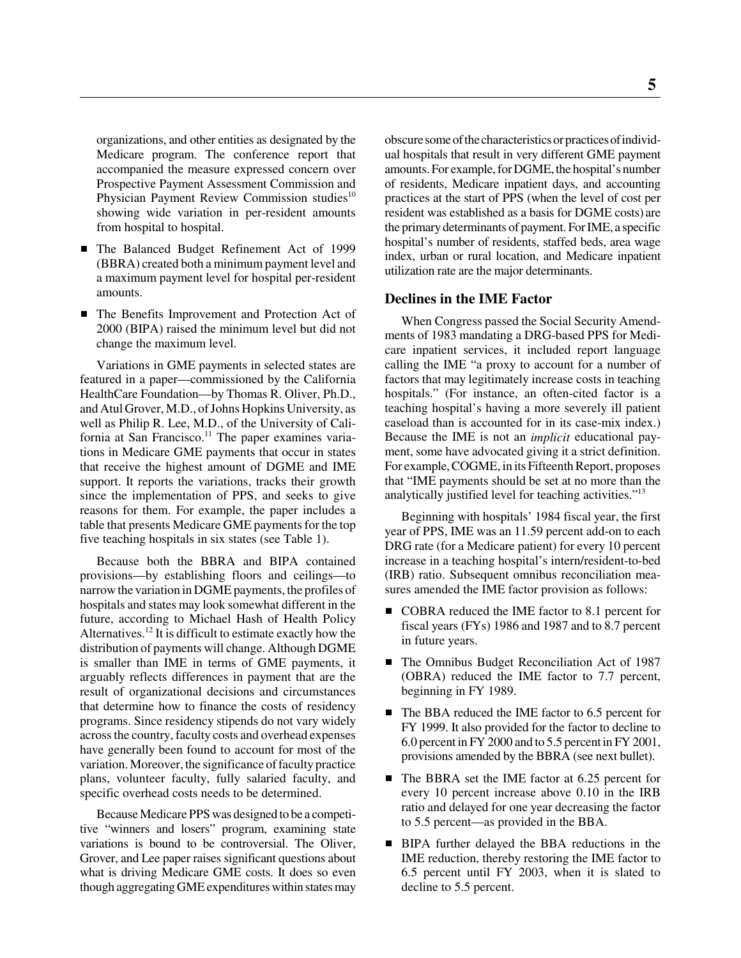organizations, and other entities as designated by the Medicare program. The conference report that accompanied the measure expressed concern over Prospective Payment Assessment Commission and Physician Payment Review Commission studies<sup>10</sup> showing wide variation in per-resident amounts from hospital to hospital.

- The Balanced Budget Refinement Act of 1999 (BBRA) created both a minimum payment level and a maximum payment level for hospital per-resident amounts.
- The Benefits Improvement and Protection Act of 2000 (BIPA) raised the minimum level but did not change the maximum level.

Variations in GME payments in selected states are featured in a paper—commissioned by the California HealthCare Foundation—by Thomas R. Oliver, Ph.D., and Atul Grover, M.D., of Johns Hopkins University, as well as Philip R. Lee, M.D., of the University of California at San Francisco.<sup>11</sup> The paper examines variations in Medicare GME payments that occur in states that receive the highest amount of DGME and IME support. It reports the variations, tracks their growth since the implementation of PPS, and seeks to give reasons for them. For example, the paper includes a table that presents Medicare GME payments for the top five teaching hospitals in six states (see Table 1).

Because both the BBRA and BIPA contained provisions—by establishing floors and ceilings—to narrow the variation in DGME payments, the profiles of hospitals and states may look somewhat different in the future, according to Michael Hash of Health Policy Alternatives.12 It is difficult to estimate exactly how the distribution of payments will change. Although DGME is smaller than IME in terms of GME payments, it arguably reflects differences in payment that are the result of organizational decisions and circumstances that determine how to finance the costs of residency programs. Since residency stipends do not vary widely across the country, faculty costs and overhead expenses have generally been found to account for most of the variation. Moreover, the significance of faculty practice plans, volunteer faculty, fully salaried faculty, and specific overhead costs needs to be determined.

Because Medicare PPS was designed to be a competitive "winners and losers" program, examining state variations is bound to be controversial. The Oliver, Grover, and Lee paper raises significant questions about what is driving Medicare GME costs. It does so even though aggregating GME expenditures within states may

obscure some of the characteristics or practices of individual hospitals that result in very different GME payment amounts. For example, for DGME, the hospital's number of residents, Medicare inpatient days, and accounting practices at the start of PPS (when the level of cost per resident was established as a basis for DGME costs) are the primary determinants of payment. For IME, a specific hospital's number of residents, staffed beds, area wage index, urban or rural location, and Medicare inpatient utilization rate are the major determinants.

#### **Declines in the IME Factor**

When Congress passed the Social Security Amendments of 1983 mandating a DRG-based PPS for Medicare inpatient services, it included report language calling the IME "a proxy to account for a number of factors that may legitimately increase costs in teaching hospitals." (For instance, an often-cited factor is a teaching hospital's having a more severely ill patient caseload than is accounted for in its case-mix index.) Because the IME is not an *implicit* educational payment, some have advocated giving it a strict definition. For example, COGME, in its Fifteenth Report, proposes that "IME payments should be set at no more than the analytically justified level for teaching activities."<sup>13</sup>

Beginning with hospitals' 1984 fiscal year, the first year of PPS, IME was an 11.59 percent add-on to each DRG rate (for a Medicare patient) for every 10 percent increase in a teaching hospital's intern/resident-to-bed (IRB) ratio. Subsequent omnibus reconciliation measures amended the IME factor provision as follows:

- COBRA reduced the IME factor to 8.1 percent for fiscal years (FYs) 1986 and 1987 and to 8.7 percent in future years.
- The Omnibus Budget Reconciliation Act of 1987 (OBRA) reduced the IME factor to 7.7 percent, beginning in FY 1989.
- The BBA reduced the IME factor to 6.5 percent for FY 1999. It also provided for the factor to decline to 6.0 percent in FY 2000 and to 5.5 percent in FY 2001, provisions amended by the BBRA (see next bullet).
- The BBRA set the IME factor at 6.25 percent for every 10 percent increase above 0.10 in the IRB ratio and delayed for one year decreasing the factor to 5.5 percent—as provided in the BBA.
- **BIPA** further delayed the BBA reductions in the IME reduction, thereby restoring the IME factor to 6.5 percent until FY 2003, when it is slated to decline to 5.5 percent.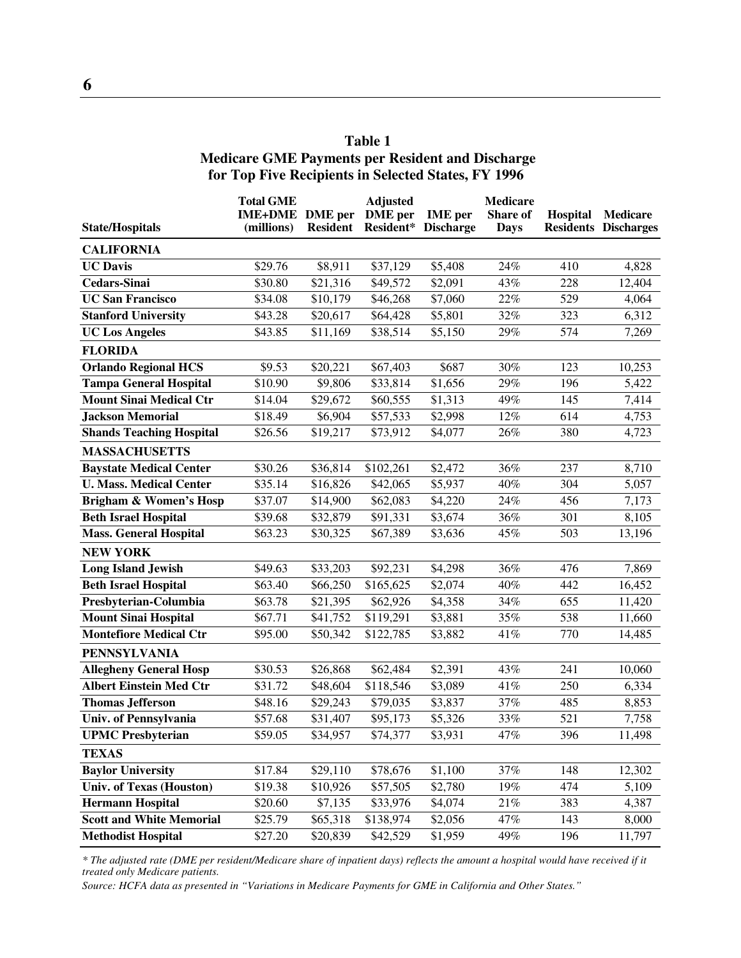## **Table 1 Medicare GME Payments per Resident and Discharge for Top Five Recipients in Selected States, FY 1996**

|                                   | <b>Total GME</b> |                 | <b>Adjusted</b> |                  | <b>Medicare</b> |          |                             |
|-----------------------------------|------------------|-----------------|-----------------|------------------|-----------------|----------|-----------------------------|
|                                   | <b>IME+DME</b>   | <b>DME</b> per  | <b>DME</b> per  | <b>IME</b> per   | Share of        | Hospital | <b>Medicare</b>             |
| <b>State/Hospitals</b>            | (millions)       | <b>Resident</b> | Resident*       | <b>Discharge</b> | <b>Days</b>     |          | <b>Residents Discharges</b> |
| <b>CALIFORNIA</b>                 |                  |                 |                 |                  |                 |          |                             |
| <b>UC</b> Davis                   | \$29.76          | \$8,911         | \$37,129        | \$5,408          | 24%             | 410      | 4,828                       |
| <b>Cedars-Sinai</b>               | \$30.80          | \$21,316        | \$49,572        | \$2,091          | 43%             | 228      | 12,404                      |
| <b>UC San Francisco</b>           | \$34.08          | \$10,179        | \$46,268        | \$7,060          | 22%             | 529      | 4,064                       |
| <b>Stanford University</b>        | \$43.28          | \$20,617        | \$64,428        | \$5,801          | 32%             | 323      | 6,312                       |
| <b>UC Los Angeles</b>             | \$43.85          | \$11,169        | \$38,514        | \$5,150          | 29%             | 574      | 7,269                       |
| <b>FLORIDA</b>                    |                  |                 |                 |                  |                 |          |                             |
| <b>Orlando Regional HCS</b>       | \$9.53           | \$20,221        | \$67,403        | \$687            | 30%             | 123      | 10,253                      |
| <b>Tampa General Hospital</b>     | \$10.90          | \$9,806         | \$33,814        | \$1,656          | 29%             | 196      | 5,422                       |
| <b>Mount Sinai Medical Ctr</b>    | \$14.04          | \$29,672        | \$60,555        | \$1,313          | 49%             | 145      | 7,414                       |
| <b>Jackson Memorial</b>           | \$18.49          | \$6,904         | \$57,533        | \$2,998          | 12%             | 614      | 4,753                       |
| <b>Shands Teaching Hospital</b>   | \$26.56          | \$19,217        | \$73,912        | \$4,077          | 26%             | 380      | 4,723                       |
| <b>MASSACHUSETTS</b>              |                  |                 |                 |                  |                 |          |                             |
| <b>Baystate Medical Center</b>    | \$30.26          | \$36,814        | \$102,261       | \$2,472          | $36\%$          | 237      | 8,710                       |
| <b>U. Mass. Medical Center</b>    | \$35.14          | \$16,826        | \$42,065        | \$5,937          | 40%             | 304      | 5,057                       |
| <b>Brigham &amp; Women's Hosp</b> | \$37.07          | \$14,900        | \$62,083        | \$4,220          | 24%             | 456      | 7,173                       |
| <b>Beth Israel Hospital</b>       | \$39.68          | \$32,879        | \$91,331        | \$3,674          | 36%             | 301      | 8,105                       |
| <b>Mass. General Hospital</b>     | \$63.23          | \$30,325        | \$67,389        | \$3,636          | 45%             | 503      | 13,196                      |
| <b>NEW YORK</b>                   |                  |                 |                 |                  |                 |          |                             |
| <b>Long Island Jewish</b>         | \$49.63          | \$33,203        | \$92,231        | \$4,298          | 36%             | 476      | 7,869                       |
| <b>Beth Israel Hospital</b>       | \$63.40          | \$66,250        | \$165,625       | \$2,074          | 40%             | 442      | 16,452                      |
| Presbyterian-Columbia             | \$63.78          | \$21,395        | \$62,926        | \$4,358          | 34%             | 655      | 11,420                      |
| <b>Mount Sinai Hospital</b>       | \$67.71          | \$41,752        | \$119,291       | \$3,881          | 35%             | 538      | 11,660                      |
| <b>Montefiore Medical Ctr</b>     | \$95.00          | \$50,342        | \$122,785       | \$3,882          | 41%             | 770      | 14,485                      |
| <b>PENNSYLVANIA</b>               |                  |                 |                 |                  |                 |          |                             |
| <b>Allegheny General Hosp</b>     | \$30.53          | \$26,868        | \$62,484        | \$2,391          | 43%             | 241      | 10,060                      |
| <b>Albert Einstein Med Ctr</b>    | \$31.72          | \$48,604        | \$118,546       | \$3,089          | 41%             | 250      | 6,334                       |
| <b>Thomas Jefferson</b>           | \$48.16          | \$29,243        | \$79,035        | \$3,837          | 37%             | 485      | 8,853                       |
| Univ. of Pennsylvania             | \$57.68          | \$31,407        | \$95,173        | \$5,326          | 33%             | 521      | 7,758                       |
| <b>UPMC</b> Presbyterian          | \$59.05          | \$34,957        | \$74,377        | \$3,931          | 47%             | 396      | 11,498                      |
| <b>TEXAS</b>                      |                  |                 |                 |                  |                 |          |                             |
| <b>Baylor University</b>          | \$17.84          | \$29,110        | \$78,676        | \$1,100          | $37\%$          | 148      | 12,302                      |
| <b>Univ. of Texas (Houston)</b>   | \$19.38          | \$10,926        | \$57,505        | \$2,780          | 19%             | 474      | 5,109                       |
| <b>Hermann Hospital</b>           | \$20.60          | \$7,135         | \$33,976        | \$4,074          | $21\%$          | 383      | 4,387                       |
| <b>Scott and White Memorial</b>   | \$25.79          | \$65,318        | \$138,974       | \$2,056          | 47%             | 143      | 8,000                       |
| <b>Methodist Hospital</b>         | \$27.20          | \$20,839        | \$42,529        | \$1,959          | 49%             | 196      | 11,797                      |

*\* The adjusted rate (DME per resident/Medicare share of inpatient days) reflects the amount a hospital would have received if it treated only Medicare patients.*

*Source: HCFA data as presented in "Variations in Medicare Payments for GME in California and Other States."*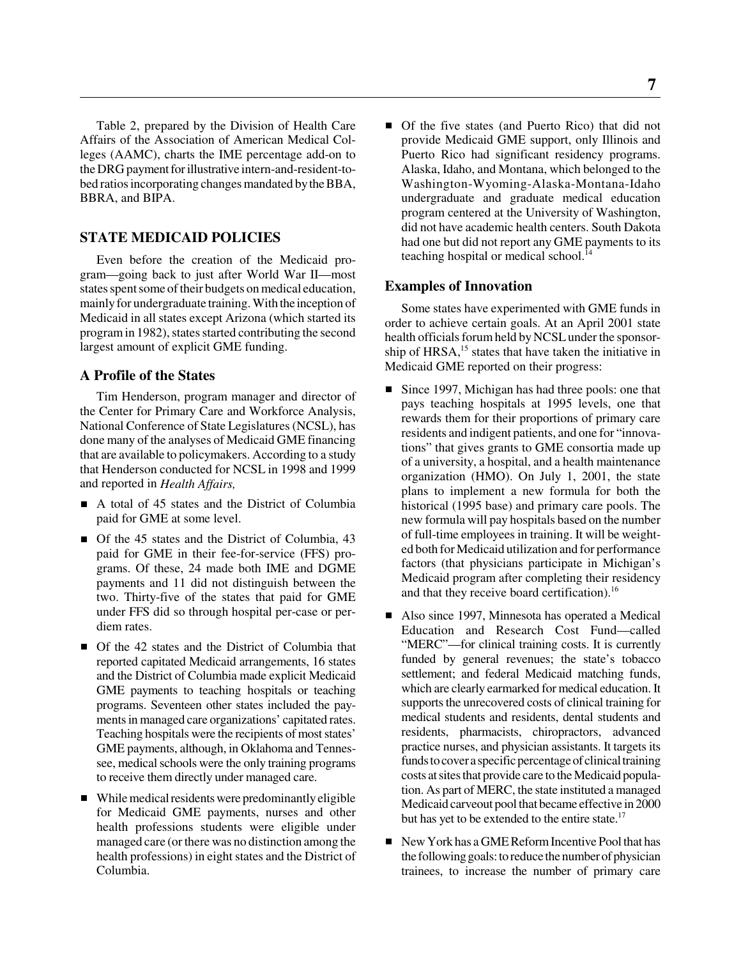Table 2, prepared by the Division of Health Care Affairs of the Association of American Medical Colleges (AAMC), charts the IME percentage add-on to the DRG payment for illustrative intern-and-resident-tobed ratios incorporating changes mandated by the BBA, BBRA, and BIPA.

#### **STATE MEDICAID POLICIES**

Even before the creation of the Medicaid program—going back to just after World War II—most states spent some of their budgets on medical education, mainly for undergraduate training. With the inception of Medicaid in all states except Arizona (which started its program in 1982), states started contributing the second largest amount of explicit GME funding.

#### **A Profile of the States**

Tim Henderson, program manager and director of the Center for Primary Care and Workforce Analysis, National Conference of State Legislatures (NCSL), has done many of the analyses of Medicaid GME financing that are available to policymakers. According to a study that Henderson conducted for NCSL in 1998 and 1999 and reported in *Health Affairs,*

- A total of 45 states and the District of Columbia paid for GME at some level.
- Of the 45 states and the District of Columbia, 43 paid for GME in their fee-for-service (FFS) programs. Of these, 24 made both IME and DGME payments and 11 did not distinguish between the two. Thirty-five of the states that paid for GME under FFS did so through hospital per-case or perdiem rates.
- Of the 42 states and the District of Columbia that reported capitated Medicaid arrangements, 16 states and the District of Columbia made explicit Medicaid GME payments to teaching hospitals or teaching programs. Seventeen other states included the payments in managed care organizations' capitated rates. Teaching hospitals were the recipients of most states' GME payments, although, in Oklahoma and Tennessee, medical schools were the only training programs to receive them directly under managed care.
- While medical residents were predominantly eligible for Medicaid GME payments, nurses and other health professions students were eligible under managed care (or there was no distinction among the health professions) in eight states and the District of Columbia.

 Of the five states (and Puerto Rico) that did not provide Medicaid GME support, only Illinois and Puerto Rico had significant residency programs. Alaska, Idaho, and Montana, which belonged to the Washington-Wyoming-Alaska-Montana-Idaho undergraduate and graduate medical education program centered at the University of Washington, did not have academic health centers. South Dakota had one but did not report any GME payments to its teaching hospital or medical school. $^{14}$ 

#### **Examples of Innovation**

Some states have experimented with GME funds in order to achieve certain goals. At an April 2001 state health officials forum held by NCSL under the sponsorship of HRSA,<sup>15</sup> states that have taken the initiative in Medicaid GME reported on their progress:

- Since 1997, Michigan has had three pools: one that pays teaching hospitals at 1995 levels, one that rewards them for their proportions of primary care residents and indigent patients, and one for "innovations" that gives grants to GME consortia made up of a university, a hospital, and a health maintenance organization (HMO). On July 1, 2001, the state plans to implement a new formula for both the historical (1995 base) and primary care pools. The new formula will pay hospitals based on the number of full-time employees in training. It will be weighted both for Medicaid utilization and for performance factors (that physicians participate in Michigan's Medicaid program after completing their residency and that they receive board certification).<sup>16</sup>
- Also since 1997, Minnesota has operated a Medical Education and Research Cost Fund—called "MERC"—for clinical training costs. It is currently funded by general revenues; the state's tobacco settlement; and federal Medicaid matching funds, which are clearly earmarked for medical education. It supports the unrecovered costs of clinical training for medical students and residents, dental students and residents, pharmacists, chiropractors, advanced practice nurses, and physician assistants. It targets its funds to cover a specific percentage of clinical training costs at sites that provide care to the Medicaid population. As part of MERC, the state instituted a managed Medicaid carveout pool that became effective in 2000 but has yet to be extended to the entire state.<sup>17</sup>
- New York has a GME Reform Incentive Pool that has the following goals: to reduce the number of physician trainees, to increase the number of primary care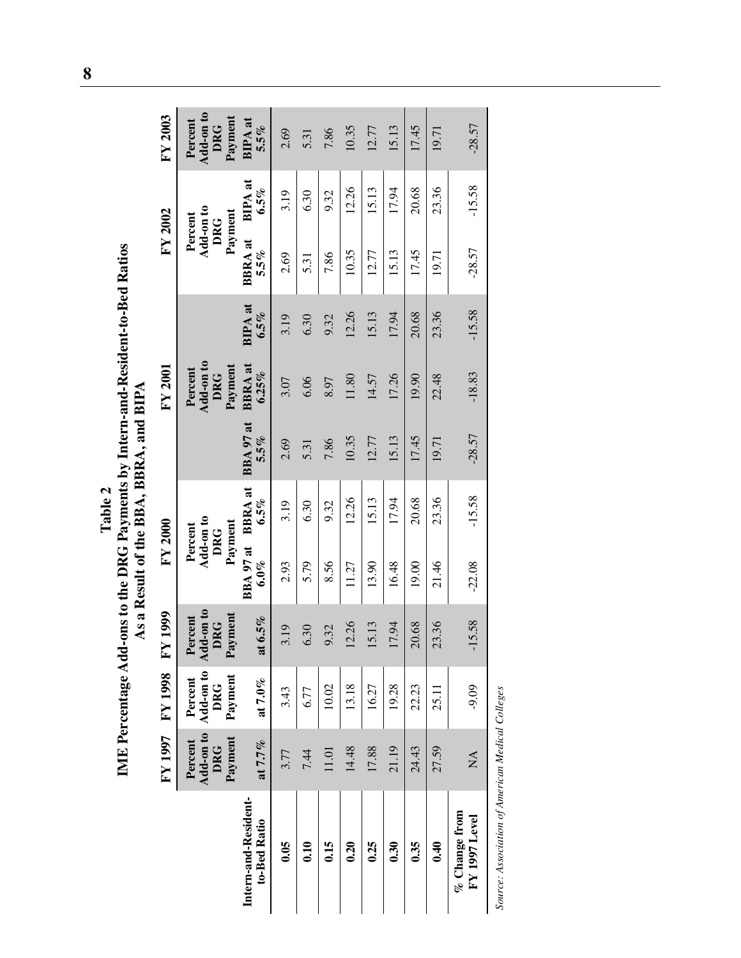Table 2<br>IME Percentage Add-ons to the DRG Payments by Intern-and-Resident-to-Bed Ratios<br>As a Result of the BBA, BBRA, and BIPA **IME Percentage Add-ons to the DRG Payments by Intern-and-Resident-to-Bed Ratios As a Result of the BBA, BBRA, and BIPA**

|                                      |                                  | <b>LA 8661 AJ 1002 AJ</b>                               | 1999                                          | FY 2000                                       |          |                      | FY 2001                                       |                           | FY 2002                                |                           | FY 2003                                       |
|--------------------------------------|----------------------------------|---------------------------------------------------------|-----------------------------------------------|-----------------------------------------------|----------|----------------------|-----------------------------------------------|---------------------------|----------------------------------------|---------------------------|-----------------------------------------------|
|                                      | Payment<br>Percent<br><b>DRG</b> | Add-on to Add-on to<br>Payment<br>Percent<br><b>DRG</b> | Add-on to<br>Payment<br>Percent<br><b>DRG</b> | Add-on to<br>Payment<br>Percent<br><b>DRG</b> |          |                      | Add-on to<br>Payment<br>Percent<br><b>DRG</b> |                           | Add-on to<br>Payment<br>Percent<br>DRG |                           | Add-on to<br>Payment<br>Percent<br><b>DRG</b> |
| Intern-and-Resident-<br>to-Bed Ratio | at 7.7%                          | at 7. $0\%$                                             | at $6.5\%$                                    | BBA 97 at BBRA at<br>$6.0\%$                  | $6.5\%$  | BBA 97 at<br>$5.5\%$ | <b>BBRA</b> at<br>6.25%                       | <b>BIPA</b> at<br>$6.5\%$ | <b>BBRA</b> at<br>5.5%                 | <b>BIPA</b> at<br>$6.5\%$ | $BIPA$ at<br>$5.5\%$                          |
| 0.05                                 | 3.77                             | 3.43                                                    | 3.19                                          | 2.93                                          | 3.19     | 2.69                 | 3.07                                          | 3.19                      | 2.69                                   | 3.19                      | 2.69                                          |
| 0.10                                 | 7.44                             | 6.77                                                    | $\ddot{30}$<br>७                              | 5.79                                          | 6.30     | 5.31                 | 6.06                                          | 6.30                      | 5.31                                   | 6.30                      | 5.31                                          |
| 0.15                                 | 11.01                            | 10.02                                                   | .32<br>Ō                                      | 8.56                                          | 9.32     | 7.86                 | 8.97                                          | 9.32                      | 7.86                                   | 9.32                      | 7.86                                          |
| 0.20                                 | 14.48                            | 13.18                                                   | 12.26                                         | 11.27                                         | 12.26    | 10.35                | 11.80                                         | 12.26                     | 10.35                                  | 12.26                     | 10.35                                         |
| 0.25                                 | 17.88                            | 16.27                                                   | 15.13                                         | 13.90                                         | 15.13    | 12.77                | 14.57                                         | 15.13                     | 12.77                                  | 15.13                     | 12.77                                         |
| 0.30                                 | 21.19                            | 19.28                                                   | 17.94                                         | 16.48                                         | 17.94    | 15.13                | 17.26                                         | 17.94                     | 15.13                                  | 17.94                     | 15.13                                         |
| 0.35                                 | 24.43                            | 22.23                                                   | 20.68                                         | 19.00                                         | 20.68    | 17.45                | 19.90                                         | 20.68                     | 17.45                                  | 20.68                     | 17.45                                         |
| 0.40                                 | 27.59                            | 25.11                                                   | 23.36                                         | 21.46                                         | 23.36    | 19.71                | 22.48                                         | 23.36                     | 19.71                                  | 23.36                     | 19.71                                         |
| $%$ Change from<br>FY 1997 Level     | $\mathbb{A}$                     | $-9.09$                                                 | $-15.58$                                      | $-22.08$                                      | $-15.58$ | $-28.57$             | $-18.83$                                      | $-15.58$                  | $-28.57$                               | $-15.58$                  | $-28.57$                                      |

Source: Association of American Medical Colleges *Source: Association of American Medical Colleges*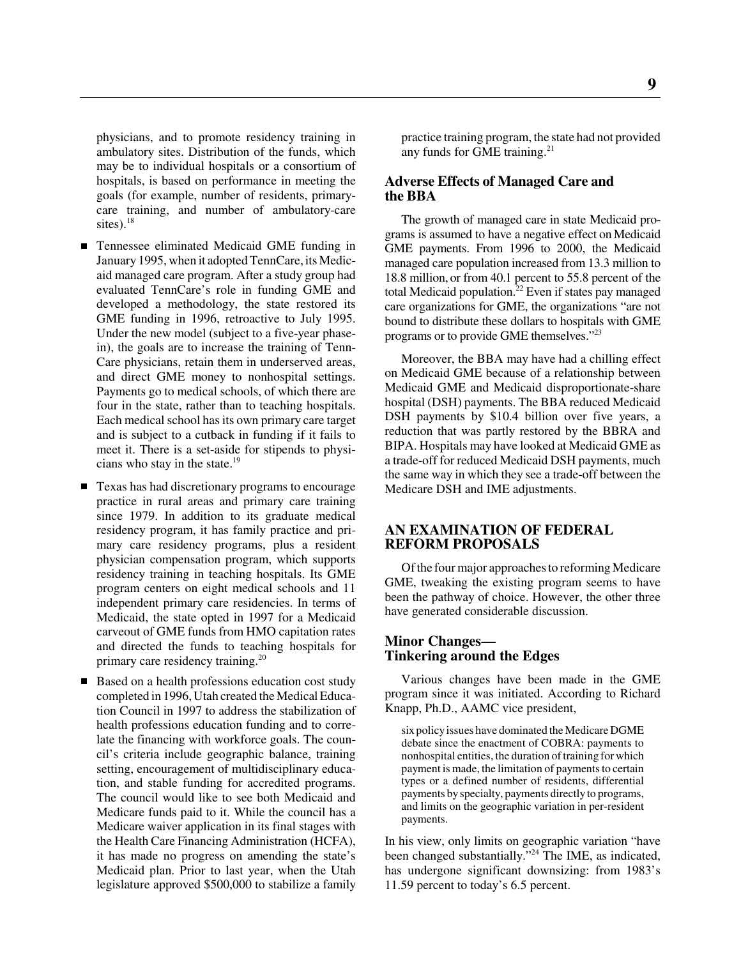physicians, and to promote residency training in ambulatory sites. Distribution of the funds, which may be to individual hospitals or a consortium of hospitals, is based on performance in meeting the goals (for example, number of residents, primarycare training, and number of ambulatory-care sites).<sup>18</sup>

- Tennessee eliminated Medicaid GME funding in January 1995, when it adopted TennCare, its Medicaid managed care program. After a study group had evaluated TennCare's role in funding GME and developed a methodology, the state restored its GME funding in 1996, retroactive to July 1995. Under the new model (subject to a five-year phasein), the goals are to increase the training of Tenn-Care physicians, retain them in underserved areas, and direct GME money to nonhospital settings. Payments go to medical schools, of which there are four in the state, rather than to teaching hospitals. Each medical school has its own primary care target and is subject to a cutback in funding if it fails to meet it. There is a set-aside for stipends to physicians who stay in the state.<sup>19</sup>
- Texas has had discretionary programs to encourage practice in rural areas and primary care training since 1979. In addition to its graduate medical residency program, it has family practice and primary care residency programs, plus a resident physician compensation program, which supports residency training in teaching hospitals. Its GME program centers on eight medical schools and 11 independent primary care residencies. In terms of Medicaid, the state opted in 1997 for a Medicaid carveout of GME funds from HMO capitation rates and directed the funds to teaching hospitals for primary care residency training.<sup>20</sup>
- Based on a health professions education cost study completed in 1996, Utah created the Medical Education Council in 1997 to address the stabilization of health professions education funding and to correlate the financing with workforce goals. The council's criteria include geographic balance, training setting, encouragement of multidisciplinary education, and stable funding for accredited programs. The council would like to see both Medicaid and Medicare funds paid to it. While the council has a Medicare waiver application in its final stages with the Health Care Financing Administration (HCFA), it has made no progress on amending the state's Medicaid plan. Prior to last year, when the Utah legislature approved \$500,000 to stabilize a family

practice training program, the state had not provided any funds for GME training.<sup>21</sup>

#### **Adverse Effects of Managed Care and the BBA**

The growth of managed care in state Medicaid programs is assumed to have a negative effect on Medicaid GME payments. From 1996 to 2000, the Medicaid managed care population increased from 13.3 million to 18.8 million, or from 40.1 percent to 55.8 percent of the total Medicaid population.<sup>22</sup> Even if states pay managed care organizations for GME, the organizations "are not bound to distribute these dollars to hospitals with GME programs or to provide GME themselves."23

Moreover, the BBA may have had a chilling effect on Medicaid GME because of a relationship between Medicaid GME and Medicaid disproportionate-share hospital (DSH) payments. The BBA reduced Medicaid DSH payments by \$10.4 billion over five years, a reduction that was partly restored by the BBRA and BIPA. Hospitals may have looked at Medicaid GME as a trade-off for reduced Medicaid DSH payments, much the same way in which they see a trade-off between the Medicare DSH and IME adjustments.

#### **AN EXAMINATION OF FEDERAL REFORM PROPOSALS**

Of the four major approaches to reforming Medicare GME, tweaking the existing program seems to have been the pathway of choice. However, the other three have generated considerable discussion.

#### **Minor Changes— Tinkering around the Edges**

Various changes have been made in the GME program since it was initiated. According to Richard Knapp, Ph.D., AAMC vice president,

six policy issues have dominated the Medicare DGME debate since the enactment of COBRA: payments to nonhospital entities, the duration of training for which payment is made, the limitation of payments to certain types or a defined number of residents, differential payments by specialty, payments directly to programs, and limits on the geographic variation in per-resident payments.

In his view, only limits on geographic variation "have been changed substantially."24 The IME, as indicated, has undergone significant downsizing: from 1983's 11.59 percent to today's 6.5 percent.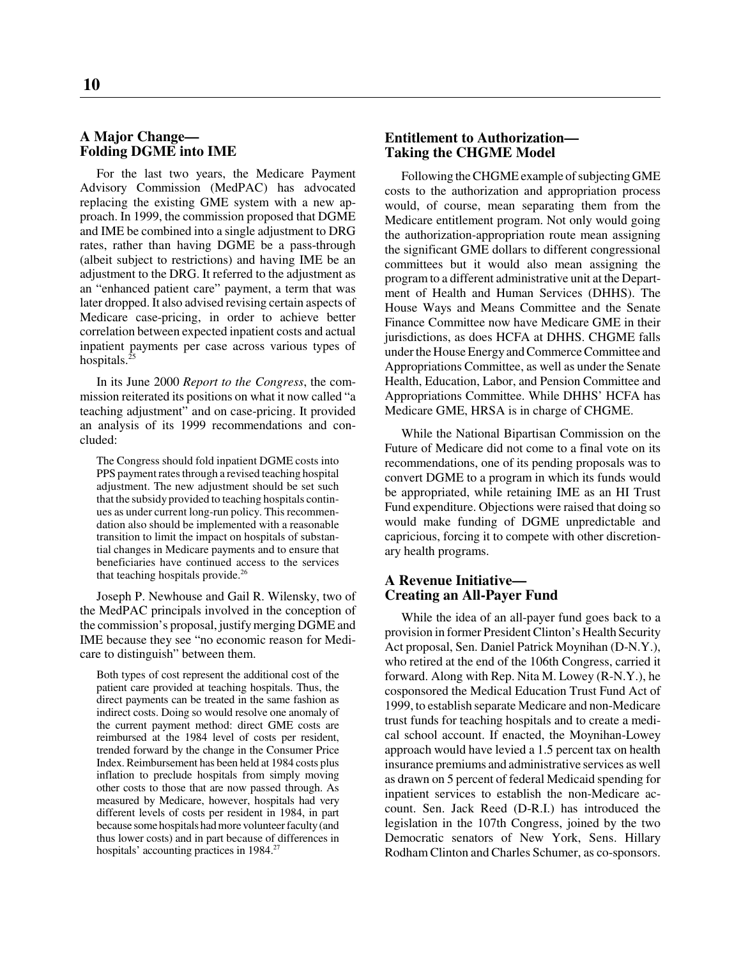#### **A Major Change— Folding DGME into IME**

For the last two years, the Medicare Payment Advisory Commission (MedPAC) has advocated replacing the existing GME system with a new approach. In 1999, the commission proposed that DGME and IME be combined into a single adjustment to DRG rates, rather than having DGME be a pass-through (albeit subject to restrictions) and having IME be an adjustment to the DRG. It referred to the adjustment as an "enhanced patient care" payment, a term that was later dropped. It also advised revising certain aspects of Medicare case-pricing, in order to achieve better correlation between expected inpatient costs and actual inpatient payments per case across various types of hospitals. $^{25}$ 

In its June 2000 *Report to the Congress*, the commission reiterated its positions on what it now called "a teaching adjustment" and on case-pricing. It provided an analysis of its 1999 recommendations and concluded:

The Congress should fold inpatient DGME costs into PPS payment rates through a revised teaching hospital adjustment. The new adjustment should be set such that the subsidy provided to teaching hospitals continues as under current long-run policy. This recommendation also should be implemented with a reasonable transition to limit the impact on hospitals of substantial changes in Medicare payments and to ensure that beneficiaries have continued access to the services that teaching hospitals provide.<sup>26</sup>

Joseph P. Newhouse and Gail R. Wilensky, two of the MedPAC principals involved in the conception of the commission's proposal, justify merging DGME and IME because they see "no economic reason for Medicare to distinguish" between them.

Both types of cost represent the additional cost of the patient care provided at teaching hospitals. Thus, the direct payments can be treated in the same fashion as indirect costs. Doing so would resolve one anomaly of the current payment method: direct GME costs are reimbursed at the 1984 level of costs per resident, trended forward by the change in the Consumer Price Index. Reimbursement has been held at 1984 costs plus inflation to preclude hospitals from simply moving other costs to those that are now passed through. As measured by Medicare, however, hospitals had very different levels of costs per resident in 1984, in part because some hospitals had more volunteer faculty (and thus lower costs) and in part because of differences in hospitals' accounting practices in 1984.<sup>27</sup>

#### **Entitlement to Authorization— Taking the CHGME Model**

Following the CHGME example of subjecting GME costs to the authorization and appropriation process would, of course, mean separating them from the Medicare entitlement program. Not only would going the authorization-appropriation route mean assigning the significant GME dollars to different congressional committees but it would also mean assigning the program to a different administrative unit at the Department of Health and Human Services (DHHS). The House Ways and Means Committee and the Senate Finance Committee now have Medicare GME in their jurisdictions, as does HCFA at DHHS. CHGME falls under the House Energy and Commerce Committee and Appropriations Committee, as well as under the Senate Health, Education, Labor, and Pension Committee and Appropriations Committee. While DHHS' HCFA has Medicare GME, HRSA is in charge of CHGME.

While the National Bipartisan Commission on the Future of Medicare did not come to a final vote on its recommendations, one of its pending proposals was to convert DGME to a program in which its funds would be appropriated, while retaining IME as an HI Trust Fund expenditure. Objections were raised that doing so would make funding of DGME unpredictable and capricious, forcing it to compete with other discretionary health programs.

#### **A Revenue Initiative— Creating an All-Payer Fund**

While the idea of an all-payer fund goes back to a provision in former President Clinton's Health Security Act proposal, Sen. Daniel Patrick Moynihan (D-N.Y.), who retired at the end of the 106th Congress, carried it forward. Along with Rep. Nita M. Lowey (R-N.Y.), he cosponsored the Medical Education Trust Fund Act of 1999, to establish separate Medicare and non-Medicare trust funds for teaching hospitals and to create a medical school account. If enacted, the Moynihan-Lowey approach would have levied a 1.5 percent tax on health insurance premiums and administrative services as well as drawn on 5 percent of federal Medicaid spending for inpatient services to establish the non-Medicare account. Sen. Jack Reed (D-R.I.) has introduced the legislation in the 107th Congress, joined by the two Democratic senators of New York, Sens. Hillary Rodham Clinton and Charles Schumer, as co-sponsors.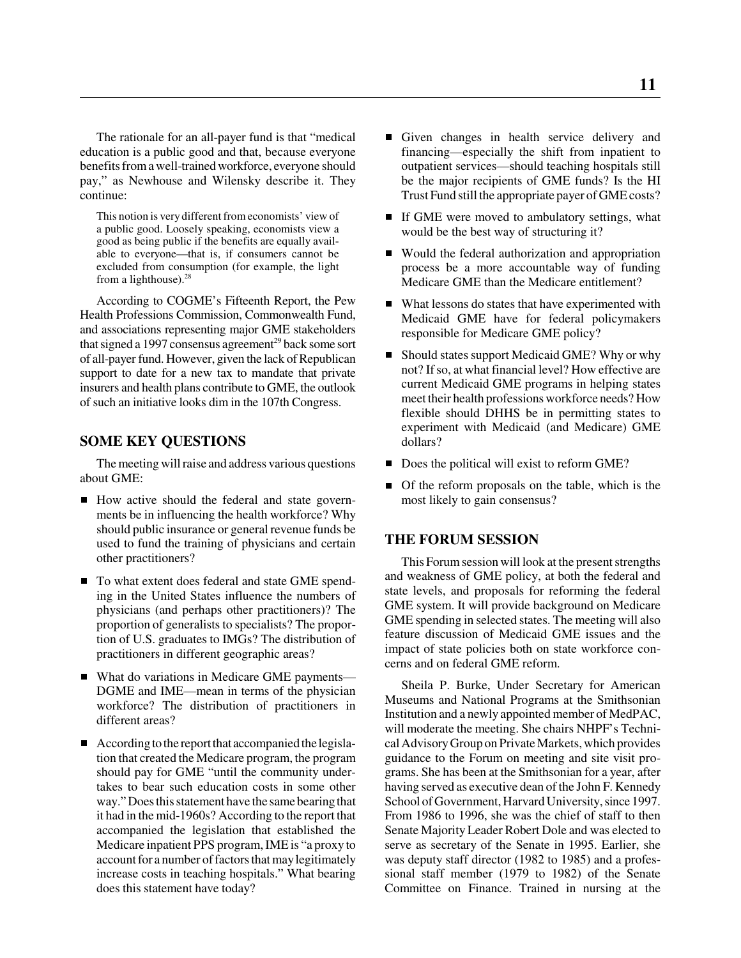The rationale for an all-payer fund is that "medical education is a public good and that, because everyone benefits from a well-trained workforce, everyone should pay," as Newhouse and Wilensky describe it. They continue:

This notion is very different from economists' view of a public good. Loosely speaking, economists view a good as being public if the benefits are equally available to everyone—that is, if consumers cannot be excluded from consumption (for example, the light from a lighthouse).<sup>28</sup>

According to COGME's Fifteenth Report, the Pew Health Professions Commission, Commonwealth Fund, and associations representing major GME stakeholders that signed a 1997 consensus agreement<sup>29</sup> back some sort of all-payer fund. However, given the lack of Republican support to date for a new tax to mandate that private insurers and health plans contribute to GME, the outlook of such an initiative looks dim in the 107th Congress.

#### **SOME KEY QUESTIONS**

The meeting will raise and address various questions about GME:

- How active should the federal and state governments be in influencing the health workforce? Why should public insurance or general revenue funds be used to fund the training of physicians and certain other practitioners?
- To what extent does federal and state GME spending in the United States influence the numbers of physicians (and perhaps other practitioners)? The proportion of generalists to specialists? The proportion of U.S. graduates to IMGs? The distribution of practitioners in different geographic areas?
- What do variations in Medicare GME payments— DGME and IME—mean in terms of the physician workforce? The distribution of practitioners in different areas?
- According to the report that accompanied the legislation that created the Medicare program, the program should pay for GME "until the community undertakes to bear such education costs in some other way." Does this statement have the same bearing that it had in the mid-1960s? According to the report that accompanied the legislation that established the Medicare inpatient PPS program, IME is "a proxy to account for a number of factors that may legitimately increase costs in teaching hospitals." What bearing does this statement have today?
- Given changes in health service delivery and financing—especially the shift from inpatient to outpatient services—should teaching hospitals still be the major recipients of GME funds? Is the HI Trust Fund still the appropriate payer of GME costs?
- If GME were moved to ambulatory settings, what would be the best way of structuring it?
- Would the federal authorization and appropriation process be a more accountable way of funding Medicare GME than the Medicare entitlement?
- What lessons do states that have experimented with Medicaid GME have for federal policymakers responsible for Medicare GME policy?
- Should states support Medicaid GME? Why or why not? If so, at what financial level? How effective are current Medicaid GME programs in helping states meet their health professions workforce needs? How flexible should DHHS be in permitting states to experiment with Medicaid (and Medicare) GME dollars?
- Does the political will exist to reform GME?
- $\blacksquare$  Of the reform proposals on the table, which is the most likely to gain consensus?

#### **THE FORUM SESSION**

This Forum session will look at the present strengths and weakness of GME policy, at both the federal and state levels, and proposals for reforming the federal GME system. It will provide background on Medicare GME spending in selected states. The meeting will also feature discussion of Medicaid GME issues and the impact of state policies both on state workforce concerns and on federal GME reform.

Sheila P. Burke, Under Secretary for American Museums and National Programs at the Smithsonian Institution and a newly appointed member of MedPAC, will moderate the meeting. She chairs NHPF's Technical Advisory Group on Private Markets, which provides guidance to the Forum on meeting and site visit programs. She has been at the Smithsonian for a year, after having served as executive dean of the John F. Kennedy School of Government, Harvard University, since 1997. From 1986 to 1996, she was the chief of staff to then Senate Majority Leader Robert Dole and was elected to serve as secretary of the Senate in 1995. Earlier, she was deputy staff director (1982 to 1985) and a professional staff member (1979 to 1982) of the Senate Committee on Finance. Trained in nursing at the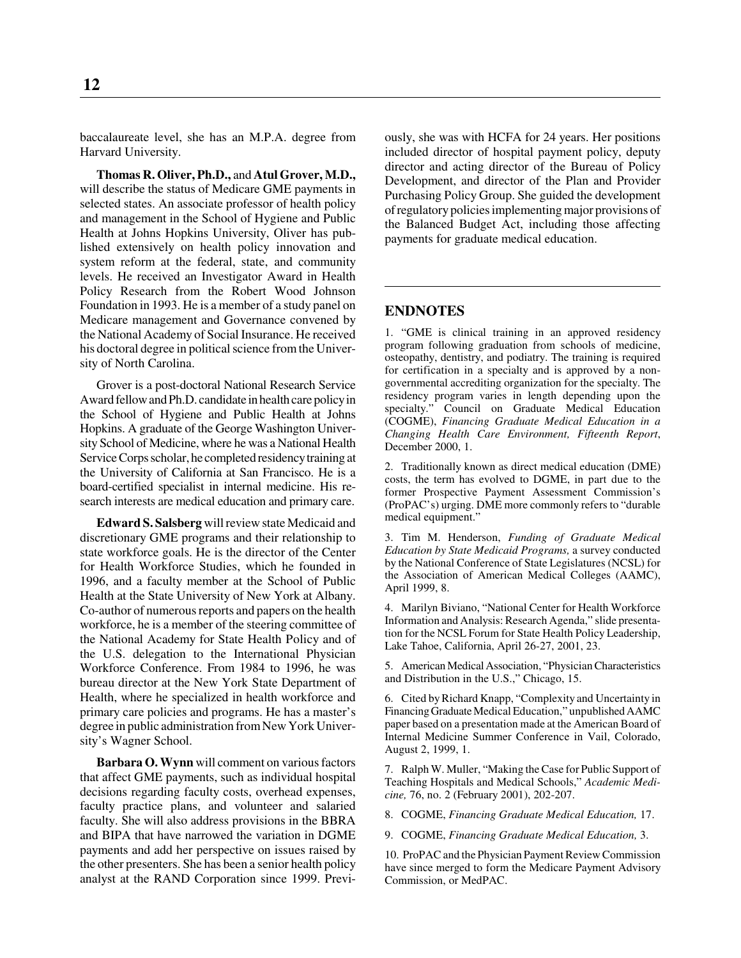baccalaureate level, she has an M.P.A. degree from Harvard University.

**Thomas R. Oliver, Ph.D.,** and **Atul Grover, M.D.,** will describe the status of Medicare GME payments in selected states. An associate professor of health policy and management in the School of Hygiene and Public Health at Johns Hopkins University, Oliver has published extensively on health policy innovation and system reform at the federal, state, and community levels. He received an Investigator Award in Health Policy Research from the Robert Wood Johnson Foundation in 1993. He is a member of a study panel on Medicare management and Governance convened by the National Academy of Social Insurance. He received his doctoral degree in political science from the University of North Carolina.

Grover is a post-doctoral National Research Service Award fellow and Ph.D. candidate in health care policy in the School of Hygiene and Public Health at Johns Hopkins. A graduate of the George Washington University School of Medicine, where he was a National Health Service Corps scholar, he completed residency training at the University of California at San Francisco. He is a board-certified specialist in internal medicine. His research interests are medical education and primary care.

**Edward S. Salsberg** will review state Medicaid and discretionary GME programs and their relationship to state workforce goals. He is the director of the Center for Health Workforce Studies, which he founded in 1996, and a faculty member at the School of Public Health at the State University of New York at Albany. Co-author of numerous reports and papers on the health workforce, he is a member of the steering committee of the National Academy for State Health Policy and of the U.S. delegation to the International Physician Workforce Conference. From 1984 to 1996, he was bureau director at the New York State Department of Health, where he specialized in health workforce and primary care policies and programs. He has a master's degree in public administration from New York University's Wagner School.

**Barbara O. Wynn** will comment on various factors that affect GME payments, such as individual hospital decisions regarding faculty costs, overhead expenses, faculty practice plans, and volunteer and salaried faculty. She will also address provisions in the BBRA and BIPA that have narrowed the variation in DGME payments and add her perspective on issues raised by the other presenters. She has been a senior health policy analyst at the RAND Corporation since 1999. Previously, she was with HCFA for 24 years. Her positions included director of hospital payment policy, deputy director and acting director of the Bureau of Policy Development, and director of the Plan and Provider Purchasing Policy Group. She guided the development of regulatory policies implementing major provisions of the Balanced Budget Act, including those affecting payments for graduate medical education.

#### **ENDNOTES**

1. "GME is clinical training in an approved residency program following graduation from schools of medicine, osteopathy, dentistry, and podiatry. The training is required for certification in a specialty and is approved by a nongovernmental accrediting organization for the specialty. The residency program varies in length depending upon the specialty." Council on Graduate Medical Education (COGME), *Financing Graduate Medical Education in a Changing Health Care Environment, Fifteenth Report*, December 2000, 1.

2. Traditionally known as direct medical education (DME) costs, the term has evolved to DGME, in part due to the former Prospective Payment Assessment Commission's (ProPAC's) urging. DME more commonly refers to "durable medical equipment."

3. Tim M. Henderson, *Funding of Graduate Medical Education by State Medicaid Programs,* a survey conducted by the National Conference of State Legislatures (NCSL) for the Association of American Medical Colleges (AAMC), April 1999, 8.

4. Marilyn Biviano, "National Center for Health Workforce Information and Analysis: Research Agenda," slide presentation for the NCSL Forum for State Health Policy Leadership, Lake Tahoe, California, April 26-27, 2001, 23.

5. American Medical Association, "Physician Characteristics and Distribution in the U.S.," Chicago, 15.

6. Cited by Richard Knapp, "Complexity and Uncertainty in Financing Graduate Medical Education," unpublished AAMC paper based on a presentation made at the American Board of Internal Medicine Summer Conference in Vail, Colorado, August 2, 1999, 1.

7. Ralph W. Muller, "Making the Case for Public Support of Teaching Hospitals and Medical Schools," *Academic Medicine,* 76, no. 2 (February 2001), 202-207.

8. COGME, *Financing Graduate Medical Education,* 17.

9. COGME, *Financing Graduate Medical Education,* 3.

10. ProPAC and the Physician Payment Review Commission have since merged to form the Medicare Payment Advisory Commission, or MedPAC.